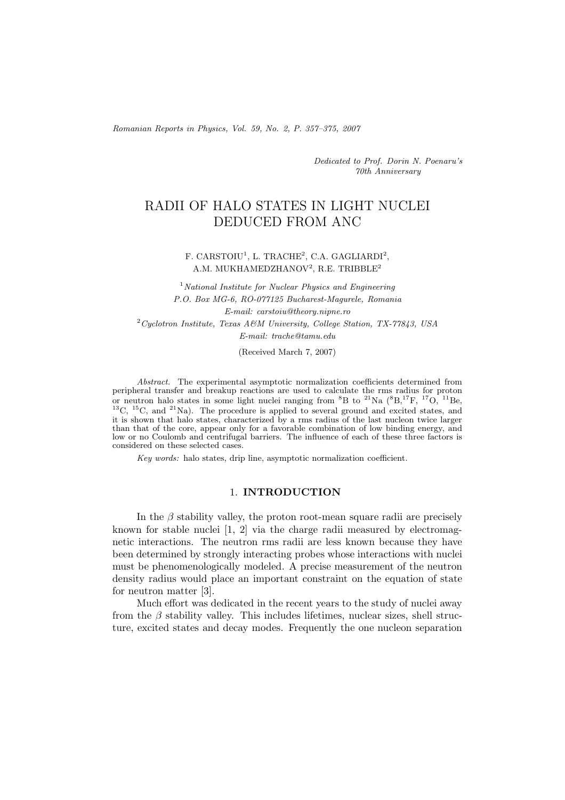*Romanian Reports in Physics, Vol. 59, No. 2, P. 357–375, 2007*

*Dedicated to Prof. Dorin N. Poenaru's 70th Anniversary*

# RADII OF HALO STATES IN LIGHT NUCLEI DEDUCED FROM ANC

#### F. CARSTOIU<sup>1</sup>, L. TRACHE<sup>2</sup>, C.A. GAGLIARDI<sup>2</sup>, A.M. MUKHAMEDZHANOV<sup>2</sup>, R.E. TRIBBLE<sup>2</sup>

<sup>1</sup>*National Institute for Nuclear Physics and Engineering P.O. Box MG-6, RO-077125 Bucharest-Magurele, Romania E-mail: carstoiu@theory.nipne.ro* <sup>2</sup>*Cyclotron Institute, Texas A&M University, College Station, TX-77843, USA E-mail: trache@tamu.edu*

(Received March 7, 2007)

*Abstract.* The experimental asymptotic normalization coefficients determined from peripheral transfer and breakup reactions are used to calculate the rms radius for proton or neutron halo states in some light nuclei ranging from  ${}^{8}B$  to  ${}^{21}Na$   $({}^{8}B,{}^{17}F,{}^{17}O,{}^{11}Be,$  $^{13}$ C,  $^{15}$ C, and  $^{21}$ Na). The procedure is applied to several ground and excited states, and it is shown that halo states, characterized by a rms radius of the last nucleon twice larger than that of the core, appear only for a favorable combination of low binding energy, and low or no Coulomb and centrifugal barriers. The influence of each of these three factors is considered on these selected cases.

*Key words:* halo states, drip line, asymptotic normalization coefficient.

#### 1. **INTRODUCTION**

In the  $\beta$  stability valley, the proton root-mean square radii are precisely known for stable nuclei [1, 2] via the charge radii measured by electromagnetic interactions. The neutron rms radii are less known because they have been determined by strongly interacting probes whose interactions with nuclei must be phenomenologically modeled. A precise measurement of the neutron density radius would place an important constraint on the equation of state for neutron matter [3].

Much effort was dedicated in the recent years to the study of nuclei away from the  $\beta$  stability valley. This includes lifetimes, nuclear sizes, shell structure, excited states and decay modes. Frequently the one nucleon separation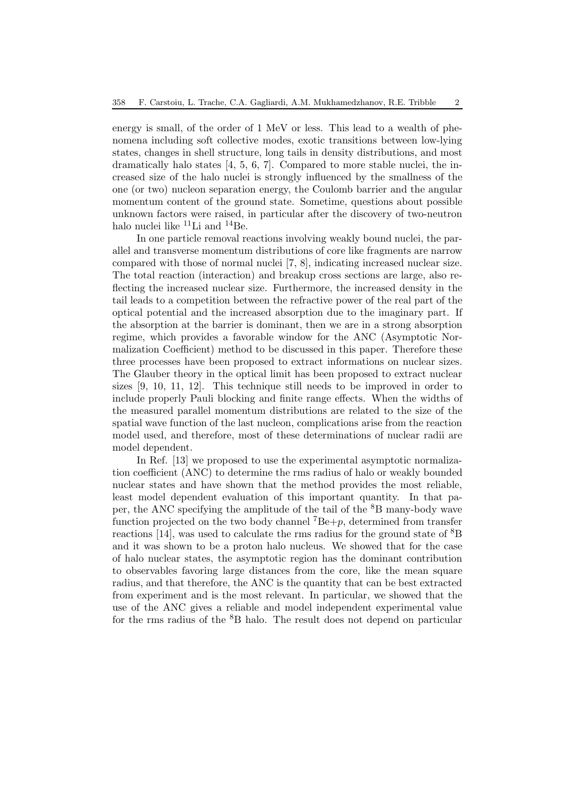energy is small, of the order of 1 MeV or less. This lead to a wealth of phenomena including soft collective modes, exotic transitions between low-lying states, changes in shell structure, long tails in density distributions, and most dramatically halo states [4, 5, 6, 7]. Compared to more stable nuclei, the increased size of the halo nuclei is strongly influenced by the smallness of the one (or two) nucleon separation energy, the Coulomb barrier and the angular momentum content of the ground state. Sometime, questions about possible unknown factors were raised, in particular after the discovery of two-neutron halo nuclei like  ${}^{11}$ Li and  ${}^{14}$ Be.

In one particle removal reactions involving weakly bound nuclei, the parallel and transverse momentum distributions of core like fragments are narrow compared with those of normal nuclei [7, 8], indicating increased nuclear size. The total reaction (interaction) and breakup cross sections are large, also reflecting the increased nuclear size. Furthermore, the increased density in the tail leads to a competition between the refractive power of the real part of the optical potential and the increased absorption due to the imaginary part. If the absorption at the barrier is dominant, then we are in a strong absorption regime, which provides a favorable window for the ANC (Asymptotic Normalization Coefficient) method to be discussed in this paper. Therefore these three processes have been proposed to extract informations on nuclear sizes. The Glauber theory in the optical limit has been proposed to extract nuclear sizes [9, 10, 11, 12]. This technique still needs to be improved in order to include properly Pauli blocking and finite range effects. When the widths of the measured parallel momentum distributions are related to the size of the spatial wave function of the last nucleon, complications arise from the reaction model used, and therefore, most of these determinations of nuclear radii are model dependent.

In Ref. [13] we proposed to use the experimental asymptotic normalization coefficient (ANC) to determine the rms radius of halo or weakly bounded nuclear states and have shown that the method provides the most reliable, least model dependent evaluation of this important quantity. In that paper, the ANC specifying the amplitude of the tail of the <sup>8</sup>B many-body wave function projected on the two body channel  $^7Be+p$ , determined from transfer reactions [14], was used to calculate the rms radius for the ground state of  ${}^{8}B$ and it was shown to be a proton halo nucleus. We showed that for the case of halo nuclear states, the asymptotic region has the dominant contribution to observables favoring large distances from the core, like the mean square radius, and that therefore, the ANC is the quantity that can be best extracted from experiment and is the most relevant. In particular, we showed that the use of the ANC gives a reliable and model independent experimental value for the rms radius of the  ${}^{8}B$  halo. The result does not depend on particular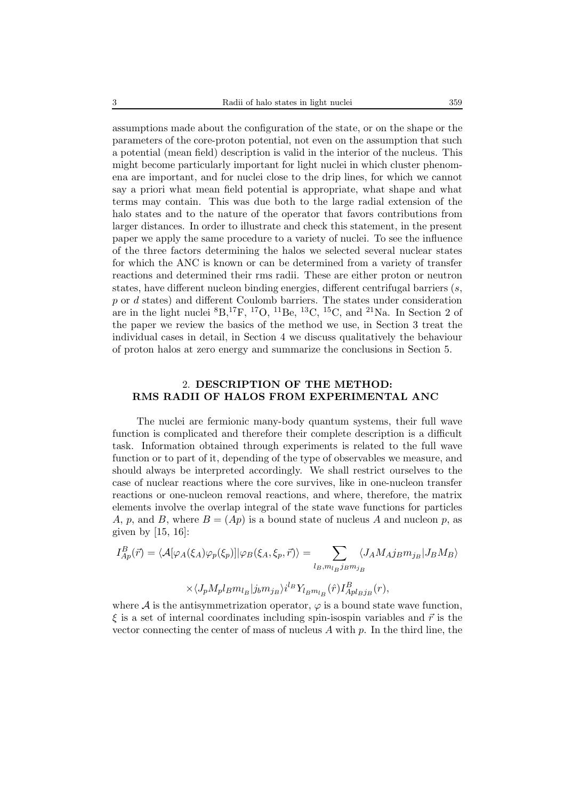assumptions made about the configuration of the state, or on the shape or the parameters of the core-proton potential, not even on the assumption that such a potential (mean field) description is valid in the interior of the nucleus. This might become particularly important for light nuclei in which cluster phenomena are important, and for nuclei close to the drip lines, for which we cannot say a priori what mean field potential is appropriate, what shape and what terms may contain. This was due both to the large radial extension of the halo states and to the nature of the operator that favors contributions from larger distances. In order to illustrate and check this statement, in the present paper we apply the same procedure to a variety of nuclei. To see the influence of the three factors determining the halos we selected several nuclear states for which the ANC is known or can be determined from a variety of transfer reactions and determined their rms radii. These are either proton or neutron states, have different nucleon binding energies, different centrifugal barriers  $(s, \cdot)$ p or d states) and different Coulomb barriers. The states under consideration are in the light nuclei  ${}^{8}B,{}^{17}F,{}^{17}O,{}^{11}Be,{}^{13}C,{}^{15}C,$  and  ${}^{21}Na$ . In Section 2 of the paper we review the basics of the method we use, in Section 3 treat the individual cases in detail, in Section 4 we discuss qualitatively the behaviour of proton halos at zero energy and summarize the conclusions in Section 5.

## 2. **DESCRIPTION OF THE METHOD: RMS RADII OF HALOS FROM EXPERIMENTAL ANC**

The nuclei are fermionic many-body quantum systems, their full wave function is complicated and therefore their complete description is a difficult task. Information obtained through experiments is related to the full wave function or to part of it, depending of the type of observables we measure, and should always be interpreted accordingly. We shall restrict ourselves to the case of nuclear reactions where the core survives, like in one-nucleon transfer reactions or one-nucleon removal reactions, and where, therefore, the matrix elements involve the overlap integral of the state wave functions for particles A, p, and B, where  $B = (Ap)$  is a bound state of nucleus A and nucleon p, as given by  $[15, 16]$ :

$$
I_{Ap}^{B}(\vec{r}) = \langle A[\varphi_{A}(\xi_{A})\varphi_{p}(\xi_{p})]|\varphi_{B}(\xi_{A}, \xi_{p}, \vec{r})\rangle = \sum_{l_{B}, m_{l_{B}}j_{B}m_{j_{B}}} \langle J_{A}M_{A}j_{B}m_{j_{B}}|J_{B}M_{B}\rangle
$$

$$
\times \langle J_p M_p l_B m_{l_B} | j_b m_{j_B} \rangle i^{l_B} Y_{l_B m_{l_B}}(\hat{r}) I_{Apl_B j_B}^B(r),
$$

where  $\mathcal A$  is the antisymmetrization operator,  $\varphi$  is a bound state wave function,  $\xi$  is a set of internal coordinates including spin-isospin variables and  $\vec{r}$  is the vector connecting the center of mass of nucleus  $A$  with  $p$ . In the third line, the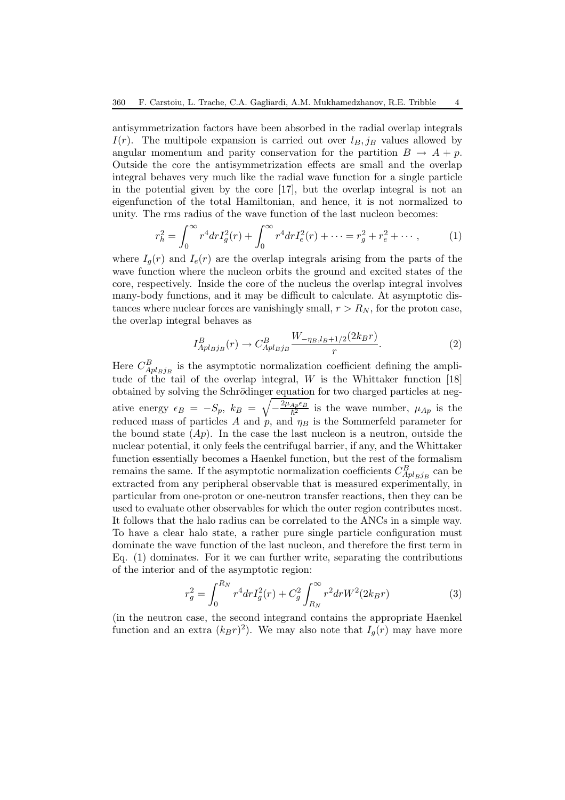antisymmetrization factors have been absorbed in the radial overlap integrals  $I(r)$ . The multipole expansion is carried out over  $l_B$ , j<sub>B</sub> values allowed by angular momentum and parity conservation for the partition  $B \to A + p$ . Outside the core the antisymmetrization effects are small and the overlap integral behaves very much like the radial wave function for a single particle in the potential given by the core [17], but the overlap integral is not an eigenfunction of the total Hamiltonian, and hence, it is not normalized to unity. The rms radius of the wave function of the last nucleon becomes:

$$
r_h^2 = \int_0^\infty r^4 dr I_g^2(r) + \int_0^\infty r^4 dr I_e^2(r) + \dots = r_g^2 + r_e^2 + \dots \,,\tag{1}
$$

where  $I_g(r)$  and  $I_e(r)$  are the overlap integrals arising from the parts of the wave function where the nucleon orbits the ground and excited states of the core, respectively. Inside the core of the nucleus the overlap integral involves many-body functions, and it may be difficult to calculate. At asymptotic distances where nuclear forces are vanishingly small,  $r>R_N$ , for the proton case, the overlap integral behaves as

$$
I_{Apl_{B}j_{B}}^{B}(r) \to C_{Apl_{B}j_{B}}^{B} \frac{W_{-\eta_{B},l_{B}+1/2}(2k_{B}r)}{r}.
$$
 (2)

Here  $C_{Apl_Bj_B}^B$  is the asymptotic normalization coefficient defining the amplitude of the tail of the overlap integral,  $W$  is the Whittaker function [18] obtained by solving the Schrödinger equation for two charged particles at negative energy  $\epsilon_B = -S_p$ ,  $k_B = \sqrt{-\frac{2\mu_{Ap}\epsilon_B}{\hbar^2}}$  is the wave number,  $\mu_{Ap}$  is the reduced mass of particles A and  $p$ , and  $\eta_B$  is the Sommerfeld parameter for the bound state  $(Ap)$ . In the case the last nucleon is a neutron, outside the nuclear potential, it only feels the centrifugal barrier, if any, and the Whittaker function essentially becomes a Haenkel function, but the rest of the formalism remains the same. If the asymptotic normalization coefficients  $C_{Apl_{B}j_{B}}^{B}$  can be extracted from any peripheral observable that is measured experimentally, in particular from one-proton or one-neutron transfer reactions, then they can be used to evaluate other observables for which the outer region contributes most. It follows that the halo radius can be correlated to the ANCs in a simple way. To have a clear halo state, a rather pure single particle configuration must dominate the wave function of the last nucleon, and therefore the first term in Eq. (1) dominates. For it we can further write, separating the contributions of the interior and of the asymptotic region:

$$
r_g^2 = \int_0^{R_N} r^4 dr I_g^2(r) + C_g^2 \int_{R_N}^{\infty} r^2 dr W^2(2k_B r)
$$
 (3)

(in the neutron case, the second integrand contains the appropriate Haenkel function and an extra  $(k_{B}r)^{2}$ . We may also note that  $I_{q}(r)$  may have more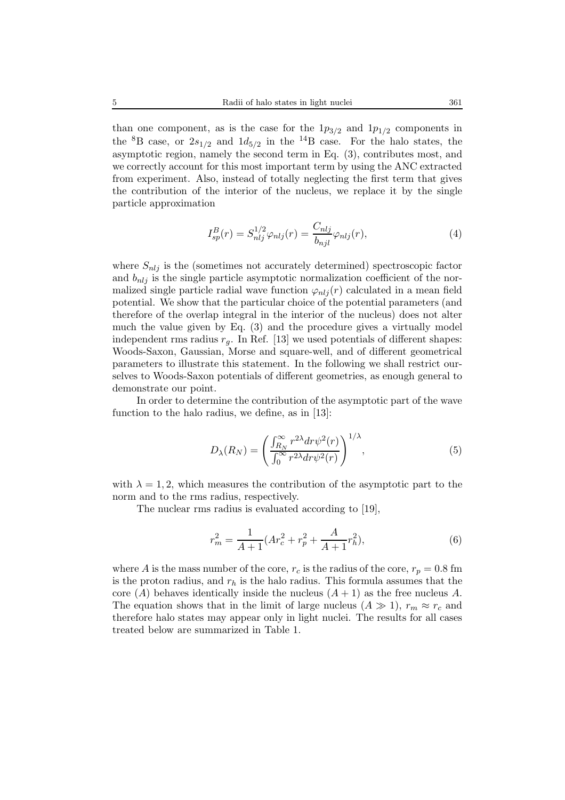than one component, as is the case for the  $1p_{3/2}$  and  $1p_{1/2}$  components in the <sup>8</sup>B case, or  $2s_{1/2}$  and  $1d_{5/2}$  in the <sup>14</sup>B case. For the halo states, the asymptotic region, namely the second term in Eq. (3), contributes most, and we correctly account for this most important term by using the ANC extracted from experiment. Also, instead of totally neglecting the first term that gives the contribution of the interior of the nucleus, we replace it by the single particle approximation

$$
I_{sp}^{B}(r) = S_{nlj}^{1/2} \varphi_{nlj}(r) = \frac{C_{nlj}}{b_{njl}} \varphi_{nlj}(r), \qquad (4)
$$

where  $S_{nlj}$  is the (sometimes not accurately determined) spectroscopic factor and  $b_{nlj}$  is the single particle asymptotic normalization coefficient of the normalized single particle radial wave function  $\varphi_{nlj}(r)$  calculated in a mean field potential. We show that the particular choice of the potential parameters (and therefore of the overlap integral in the interior of the nucleus) does not alter much the value given by Eq. (3) and the procedure gives a virtually model independent rms radius  $r_q$ . In Ref. [13] we used potentials of different shapes: Woods-Saxon, Gaussian, Morse and square-well, and of different geometrical parameters to illustrate this statement. In the following we shall restrict ourselves to Woods-Saxon potentials of different geometries, as enough general to demonstrate our point.

In order to determine the contribution of the asymptotic part of the wave function to the halo radius, we define, as in [13]:

$$
D_{\lambda}(R_N) = \left(\frac{\int_{R_N}^{\infty} r^{2\lambda} dr \psi^2(r)}{\int_0^{\infty} r^{2\lambda} dr \psi^2(r)}\right)^{1/\lambda},\tag{5}
$$

with  $\lambda = 1, 2$ , which measures the contribution of the asymptotic part to the norm and to the rms radius, respectively.

The nuclear rms radius is evaluated according to [19],

$$
r_m^2 = \frac{1}{A+1} (Ar_c^2 + r_p^2 + \frac{A}{A+1} r_h^2),\tag{6}
$$

where A is the mass number of the core,  $r_c$  is the radius of the core,  $r_p = 0.8$  fm is the proton radius, and  $r<sub>h</sub>$  is the halo radius. This formula assumes that the core (A) behaves identically inside the nucleus  $(A + 1)$  as the free nucleus A. The equation shows that in the limit of large nucleus  $(A \gg 1)$ ,  $r_m \approx r_c$  and therefore halo states may appear only in light nuclei. The results for all cases treated below are summarized in Table 1.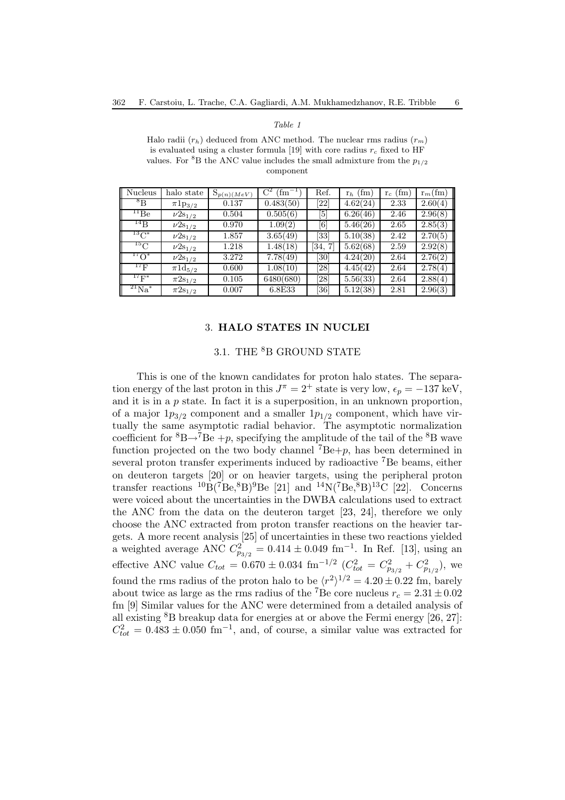#### *Table 1*

Halo radii  $(r_h)$  deduced from ANC method. The nuclear rms radius  $(r_m)$ is evaluated using a cluster formula [19] with core radius  $r_c$  fixed to HF values. For <sup>8</sup>B the ANC value includes the small admixture from the  $p_{1/2}$ component

| <b>Nucleus</b>         | halo state               | $S_{p(n)}(MeV)$ | (f <sub>m</sub> ) | Ref.              | $r_h$ (fm) | $r_c$ (fm) | $r_m$ (fm) |
|------------------------|--------------------------|-----------------|-------------------|-------------------|------------|------------|------------|
| ${}^8\text{B}$         | $\pi 1p_{3/2}$           | 0.137           | 0.483(50)         | [22]              | 4.62(24)   | 2.33       | 2.60(4)    |
| $^{11}Be$              | $\nu 2s_{1/2}$           | 0.504           | 0.505(6)          | [5]               | 6.26(46)   | 2.46       | 2.96(8)    |
| $^{14}$ B              | $\nu 2s_{1/2}$           | 0.970           | 1.09(2)           | $\lceil 6 \rceil$ | 5.46(26)   | 2.65       | 2.85(3)    |
| $^{13}C^*$             | $\nu 2s_{1/2}$           | 1.857           | 3.65(49)          | [33]              | 5.10(38)   | 2.42       | 2.70(5)    |
| $^{15}$ C              | $\nu 2s_{1/2}$           | 1.218           | 1.48(18)          | [34,              | 5.62(68)   | 2.59       | 2.92(8)    |
| $^{17}O^*$             | $\nu 2s_{1/2}$           | 3.272           | 7.78(49)          | [30]              | 4.24(20)   | 2.64       | 2.76(2)    |
| $^{17}$ F              | $\pi 1\mathrm{d}_{5/2}$  | 0.600           | 1.08(10)          | [28]              | 4.45(42)   | 2.64       | 2.78(4)    |
| $^{17}{\rm F}^{*}$     | $\pi_{2{{\rm S}_{1/2}}}$ | 0.105           | 6480(680)         | [28]              | 5.56(33)   | 2.64       | 2.88(4)    |
| $\mathrm{^{21}Na^{*}}$ | $\pi 2s_{1/2}$           | 0.007           | 6.8E33            | [36]              | 5.12(38)   | 2.81       | 2.96(3)    |

#### 3. **HALO STATES IN NUCLEI**

#### 3.1. THE <sup>8</sup>B GROUND STATE

This is one of the known candidates for proton halo states. The separation energy of the last proton in this  $J^{\pi} = 2^{+}$  state is very low,  $\epsilon_{p} = -137$  keV, and it is in a  $p$  state. In fact it is a superposition, in an unknown proportion, of a major  $1p_{3/2}$  component and a smaller  $1p_{1/2}$  component, which have virtually the same asymptotic radial behavior. The asymptotic normalization coefficient for  ${}^{8}B\rightarrow {}^{7}Be + p$ , specifying the amplitude of the tail of the  ${}^{8}B$  wave function projected on the two body channel  $^7Be+p$ , has been determined in several proton transfer experiments induced by radioactive <sup>7</sup>Be beams, either on deuteron targets [20] or on heavier targets, using the peripheral proton transfer reactions  ${}^{10}B({}^{7}Be,{}^{8}B){}^{9}Be$  [21] and  ${}^{14}N({}^{7}Be,{}^{8}B){}^{13}C$  [22]. Concerns were voiced about the uncertainties in the DWBA calculations used to extract the ANC from the data on the deuteron target [23, 24], therefore we only choose the ANC extracted from proton transfer reactions on the heavier targets. A more recent analysis [25] of uncertainties in these two reactions yielded a weighted average ANC  $C_{p_{3/2}}^2 = 0.414 \pm 0.049 \text{ fm}^{-1}$ . In Ref. [13], using an effective ANC value  $C_{tot} = 0.670 \pm 0.034$  fm<sup>-1/2</sup>  $(C_{tot}^2 = C_{p_{3/2}}^2 + C_{p_{1/2}}^2)$ , we found the rms radius of the proton halo to be  $\langle r^2 \rangle^{1/2} = 4.20 \pm 0.22$  fm, barely about twice as large as the rms radius of the <sup>7</sup>Be core nucleus  $r_c = 2.31 \pm 0.02$ fm [9] Similar values for the ANC were determined from a detailed analysis of all existing  ${}^{8}B$  breakup data for energies at or above the Fermi energy [26, 27]:  $C_{tot}^2 = 0.483 \pm 0.050$  fm<sup>-1</sup>, and, of course, a similar value was extracted for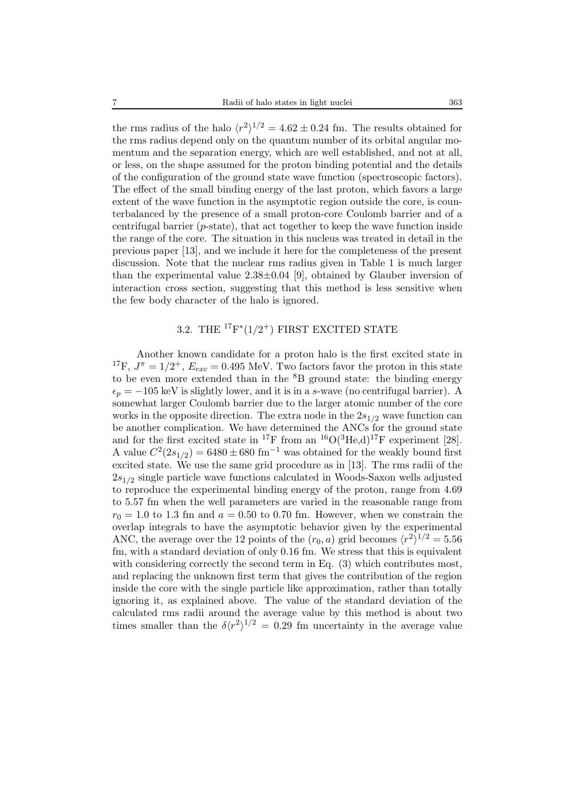the rms radius of the halo  $\langle r^2 \rangle^{1/2} = 4.62 \pm 0.24$  fm. The results obtained for the rms radius depend only on the quantum number of its orbital angular momentum and the separation energy, which are well established, and not at all, or less, on the shape assumed for the proton binding potential and the details of the configuration of the ground state wave function (spectroscopic factors). The effect of the small binding energy of the last proton, which favors a large extent of the wave function in the asymptotic region outside the core, is counterbalanced by the presence of a small proton-core Coulomb barrier and of a centrifugal barrier (p-state), that act together to keep the wave function inside the range of the core. The situation in this nucleus was treated in detail in the previous paper [13], and we include it here for the completeness of the present discussion. Note that the nuclear rms radius given in Table 1 is much larger than the experimental value  $2.38\pm0.04$  [9], obtained by Glauber inversion of interaction cross section, suggesting that this method is less sensitive when the few body character of the halo is ignored.

# 3.2. THE  ${}^{17}F^*(1/2^+)$  FIRST EXCITED STATE

Another known candidate for a proton halo is the first excited state in <sup>17</sup>F,  $J^{\pi} = 1/2^+$ ,  $E_{exc} = 0.495$  MeV. Two factors favor the proton in this state to be even more extended than in the  ${}^{8}B$  ground state: the binding energy  $\epsilon_p = -105$  keV is slightly lower, and it is in a s-wave (no centrifugal barrier). A somewhat larger Coulomb barrier due to the larger atomic number of the core works in the opposite direction. The extra node in the  $2s_{1/2}$  wave function can be another complication. We have determined the ANCs for the ground state and for the first excited state in <sup>17</sup>F from an <sup>16</sup>O(<sup>3</sup>He,d)<sup>17</sup>F experiment [28]. A value  $C^2(2s_{1/2}) = 6480 \pm 680$  fm<sup>-1</sup> was obtained for the weakly bound first excited state. We use the same grid procedure as in [13]. The rms radii of the  $2s_{1/2}$  single particle wave functions calculated in Woods-Saxon wells adjusted to reproduce the experimental binding energy of the proton, range from 4.69 to 5.57 fm when the well parameters are varied in the reasonable range from  $r_0 = 1.0$  to 1.3 fm and  $a = 0.50$  to 0.70 fm. However, when we constrain the overlap integrals to have the asymptotic behavior given by the experimental ANC, the average over the 12 points of the  $(r_0, a)$  grid becomes  $\langle r^2 \rangle^{1/2} = 5.56$ fm, with a standard deviation of only 0.16 fm. We stress that this is equivalent with considering correctly the second term in Eq.  $(3)$  which contributes most, and replacing the unknown first term that gives the contribution of the region inside the core with the single particle like approximation, rather than totally ignoring it, as explained above. The value of the standard deviation of the calculated rms radii around the average value by this method is about two times smaller than the  $\delta \langle r^2 \rangle^{1/2} = 0.29$  fm uncertainty in the average value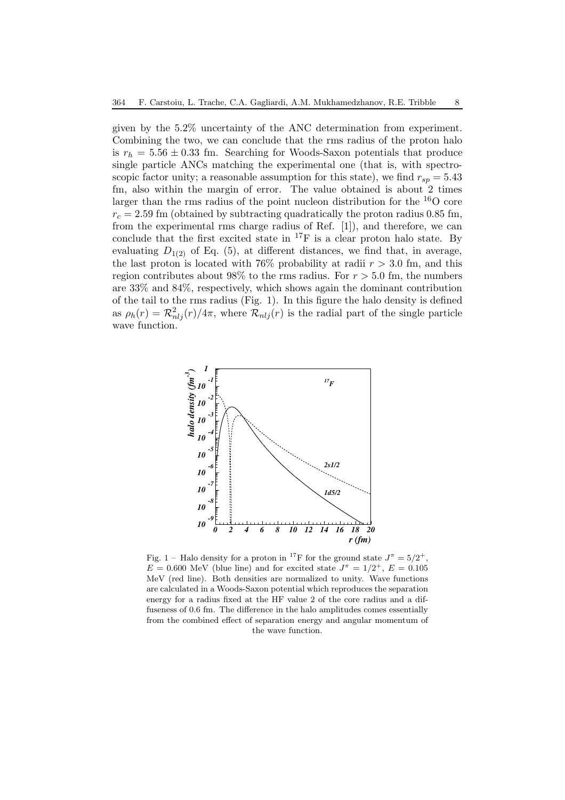given by the 5.2% uncertainty of the ANC determination from experiment. Combining the two, we can conclude that the rms radius of the proton halo is  $r_h = 5.56 \pm 0.33$  fm. Searching for Woods-Saxon potentials that produce single particle ANCs matching the experimental one (that is, with spectroscopic factor unity; a reasonable assumption for this state), we find  $r_{sp} = 5.43$ fm, also within the margin of error. The value obtained is about 2 times larger than the rms radius of the point nucleon distribution for the  $^{16}$ O core  $r_c = 2.59$  fm (obtained by subtracting quadratically the proton radius 0.85 fm, from the experimental rms charge radius of Ref. [1]), and therefore, we can conclude that the first excited state in  ${}^{17}F$  is a clear proton halo state. By evaluating  $D_{1(2)}$  of Eq. (5), at different distances, we find that, in average, the last proton is located with 76% probability at radii  $r > 3.0$  fm, and this region contributes about 98% to the rms radius. For  $r > 5.0$  fm, the numbers are 33% and 84%, respectively, which shows again the dominant contribution of the tail to the rms radius (Fig. 1). In this figure the halo density is defined as  $\rho_h(r) = \mathcal{R}^2_{nlj}(r)/4\pi$ , where  $\mathcal{R}_{nlj}(r)$  is the radial part of the single particle wave function.



Fig. 1 – Halo density for a proton in <sup>17</sup>F for the ground state  $J^{\pi} = 5/2^{+}$ ,  $E = 0.600$  MeV (blue line) and for excited state  $J^{\pi} = 1/2^{+}$ ,  $E = 0.105$ MeV (red line). Both densities are normalized to unity. Wave functions are calculated in a Woods-Saxon potential which reproduces the separation energy for a radius fixed at the HF value 2 of the core radius and a diffuseness of 0.6 fm. The difference in the halo amplitudes comes essentially from the combined effect of separation energy and angular momentum of the wave function.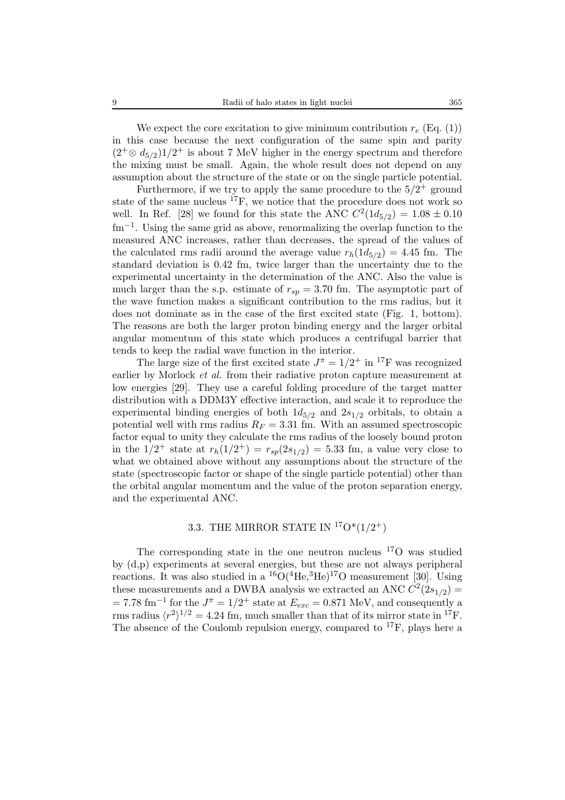We expect the core excitation to give minimum contribution  $r_e$  (Eq. (1)) in this case because the next configuration of the same spin and parity  $(2^+\otimes d_{5/2})1/2^+$  is about 7 MeV higher in the energy spectrum and therefore the mixing must be small. Again, the whole result does not depend on any assumption about the structure of the state or on the single particle potential.

Furthermore, if we try to apply the same procedure to the  $5/2^+$  ground state of the same nucleus  ${}^{17}F$ , we notice that the procedure does not work so well. In Ref. [28] we found for this state the ANC  $C^2(1d_{5/2})=1.08 \pm 0.10$  $\text{fm}^{-1}$ . Using the same grid as above, renormalizing the overlap function to the measured ANC increases, rather than decreases, the spread of the values of the calculated rms radii around the average value  $r_h(1d_{5/2})=4.45$  fm. The standard deviation is 0.42 fm, twice larger than the uncertainty due to the experimental uncertainty in the determination of the ANC. Also the value is much larger than the s.p. estimate of  $r_{sp} = 3.70$  fm. The asymptotic part of the wave function makes a significant contribution to the rms radius, but it does not dominate as in the case of the first excited state (Fig. 1, bottom). The reasons are both the larger proton binding energy and the larger orbital angular momentum of this state which produces a centrifugal barrier that tends to keep the radial wave function in the interior.

The large size of the first excited state  $J^{\pi} = 1/2^{+}$  in <sup>17</sup>F was recognized earlier by Morlock *et al.* from their radiative proton capture measurement at low energies [29]. They use a careful folding procedure of the target matter distribution with a DDM3Y effective interaction, and scale it to reproduce the experimental binding energies of both  $1d_{5/2}$  and  $2s_{1/2}$  orbitals, to obtain a potential well with rms radius  $R_F = 3.31$  fm. With an assumed spectroscopic factor equal to unity they calculate the rms radius of the loosely bound proton in the  $1/2^+$  state at  $r_h(1/2^+) = r_{sp}(2s_{1/2})=5.33$  fm, a value very close to what we obtained above without any assumptions about the structure of the state (spectroscopic factor or shape of the single particle potential) other than the orbital angular momentum and the value of the proton separation energy, and the experimental ANC.

### 3.3. THE MIRROR STATE IN  ${}^{17}O^*(1/2^+)$

The corresponding state in the one neutron nucleus  $170$  was studied by (d,p) experiments at several energies, but these are not always peripheral reactions. It was also studied in a  ${}^{16}O({}^{4}He, {}^{3}He){}^{17}O$  measurement [30]. Using these measurements and a DWBA analysis we extracted an ANC  $\dot{C}^2(2s_{1/2})$  =  $= 7.78$  fm<sup>-1</sup> for the  $J^{\pi} = 1/2^{+}$  state at  $E_{exc} = 0.871$  MeV, and consequently a rms radius  $\langle r^2 \rangle^{1/2} = 4.24$  fm, much smaller than that of its mirror state in <sup>17</sup>F. The absence of the Coulomb repulsion energy, compared to  $^{17}$ F, plays here a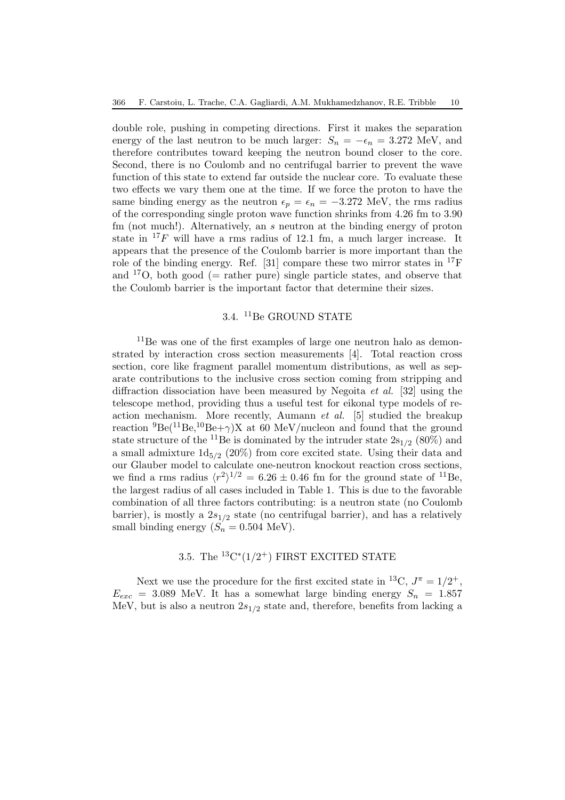double role, pushing in competing directions. First it makes the separation energy of the last neutron to be much larger:  $S_n = -\epsilon_n = 3.272$  MeV, and therefore contributes toward keeping the neutron bound closer to the core. Second, there is no Coulomb and no centrifugal barrier to prevent the wave function of this state to extend far outside the nuclear core. To evaluate these two effects we vary them one at the time. If we force the proton to have the same binding energy as the neutron  $\epsilon_p = \epsilon_n = -3.272$  MeV, the rms radius of the corresponding single proton wave function shrinks from 4.26 fm to 3.90 fm (not much!). Alternatively, an  $s$  neutron at the binding energy of proton state in  $^{17}F$  will have a rms radius of 12.1 fm, a much larger increase. It appears that the presence of the Coulomb barrier is more important than the role of the binding energy. Ref. [31] compare these two mirror states in  $^{17}F$ and  $17O$ , both good (= rather pure) single particle states, and observe that the Coulomb barrier is the important factor that determine their sizes.

### 3.4. <sup>11</sup>Be GROUND STATE

<sup>11</sup>Be was one of the first examples of large one neutron halo as demonstrated by interaction cross section measurements [4]. Total reaction cross section, core like fragment parallel momentum distributions, as well as separate contributions to the inclusive cross section coming from stripping and diffraction dissociation have been measured by Negoita *et al.* [32] using the telescope method, providing thus a useful test for eikonal type models of reaction mechanism. More recently, Aumann *et al.* [5] studied the breakup reaction  ${}^{9}Be({}^{11}Be,{}^{10}Be+\gamma)X$  at 60 MeV/nucleon and found that the ground state structure of the <sup>11</sup>Be is dominated by the intruder state  $2s_{1/2}$  (80%) and a small admixture  $1d_{5/2}$  (20%) from core excited state. Using their data and our Glauber model to calculate one-neutron knockout reaction cross sections, we find a rms radius  $\langle r^2 \rangle^{1/2} = 6.26 \pm 0.46$  fm for the ground state of <sup>11</sup>Be, the largest radius of all cases included in Table 1. This is due to the favorable combination of all three factors contributing: is a neutron state (no Coulomb barrier), is mostly a  $2s_{1/2}$  state (no centrifugal barrier), and has a relatively small binding energy  $(S_n = 0.504 \text{ MeV}).$ 

# 3.5. The  ${}^{13}C^*(1/2^+)$  FIRST EXCITED STATE

Next we use the procedure for the first excited state in <sup>13</sup>C,  $J^{\pi} = 1/2^{+}$ ,  $E_{exc}$  = 3.089 MeV. It has a somewhat large binding energy  $S_n$  = 1.857 MeV, but is also a neutron  $2s_{1/2}$  state and, therefore, benefits from lacking a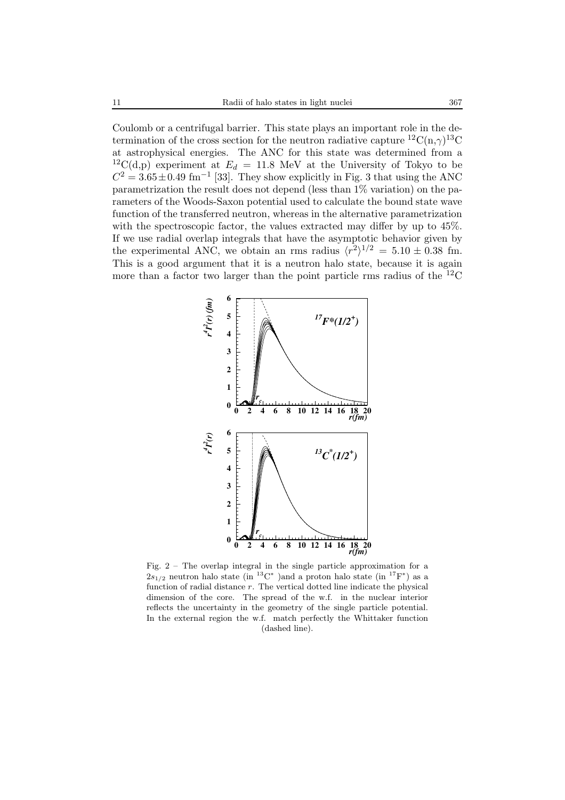Coulomb or a centrifugal barrier. This state plays an important role in the determination of the cross section for the neutron radiative capture  ${}^{12}C(n,\gamma){}^{13}C$ at astrophysical energies. The ANC for this state was determined from a <sup>12</sup>C(d,p) experiment at  $E_d = 11.8$  MeV at the University of Tokyo to be  $C^2 = 3.65 \pm 0.49$  fm<sup>-1</sup> [33]. They show explicitly in Fig. 3 that using the ANC parametrization the result does not depend (less than 1% variation) on the parameters of the Woods-Saxon potential used to calculate the bound state wave function of the transferred neutron, whereas in the alternative parametrization with the spectroscopic factor, the values extracted may differ by up to 45%. If we use radial overlap integrals that have the asymptotic behavior given by the experimental ANC, we obtain an rms radius  $\langle r^2 \rangle^{1/2} = 5.10 \pm 0.38$  fm. This is a good argument that it is a neutron halo state, because it is again more than a factor two larger than the point particle rms radius of the  ${}^{12}$ C



Fig. 2 – The overlap integral in the single particle approximation for a  $2s_{1/2}$  neutron halo state (in <sup>13</sup>C<sup>\*</sup>)and a proton halo state (in <sup>17</sup>F<sup>\*</sup>) as a function of radial distance  $r$ . The vertical dotted line indicate the physical dimension of the core. The spread of the w.f. in the nuclear interior reflects the uncertainty in the geometry of the single particle potential. In the external region the w.f. match perfectly the Whittaker function (dashed line).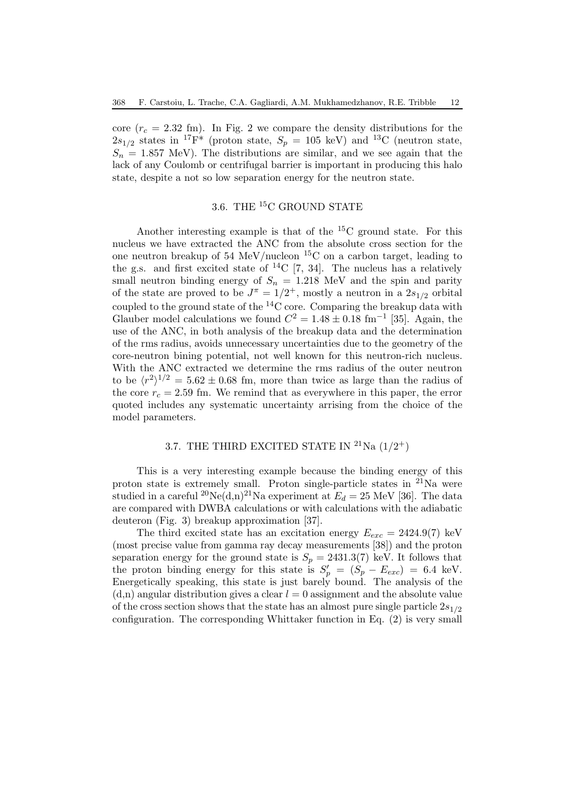core ( $r_c = 2.32$  fm). In Fig. 2 we compare the density distributions for the  $2s_{1/2}$  states in <sup>17</sup>F<sup>\*</sup> (proton state,  $S_p = 105$  keV) and <sup>13</sup>C (neutron state,  $S_n = 1.857$  MeV). The distributions are similar, and we see again that the lack of any Coulomb or centrifugal barrier is important in producing this halo state, despite a not so low separation energy for the neutron state.

# 3.6. THE <sup>15</sup>C GROUND STATE

Another interesting example is that of the <sup>15</sup>C ground state. For this nucleus we have extracted the ANC from the absolute cross section for the one neutron breakup of 54 MeV/nucleon <sup>15</sup>C on a carbon target, leading to the g.s. and first excited state of  ${}^{14}C$  [7, 34]. The nucleus has a relatively small neutron binding energy of  $S_n = 1.218$  MeV and the spin and parity of the state are proved to be  $J^{\pi} = 1/2^{+}$ , mostly a neutron in a  $2s_{1/2}$  orbital coupled to the ground state of the  ${}^{14}$ C core. Comparing the breakup data with Glauber model calculations we found  $C^2 = 1.48 \pm 0.18$  fm<sup>-1</sup> [35]. Again, the use of the ANC, in both analysis of the breakup data and the determination of the rms radius, avoids unnecessary uncertainties due to the geometry of the core-neutron bining potential, not well known for this neutron-rich nucleus. With the ANC extracted we determine the rms radius of the outer neutron to be  $\langle r^2 \rangle^{1/2} = 5.62 \pm 0.68$  fm, more than twice as large than the radius of the core  $r_c = 2.59$  fm. We remind that as everywhere in this paper, the error quoted includes any systematic uncertainty arrising from the choice of the model parameters.

# 3.7. THE THIRD EXCITED STATE IN <sup>21</sup>Na  $(1/2^+)$

This is a very interesting example because the binding energy of this proton state is extremely small. Proton single-particle states in  $^{21}$ Na were studied in a careful <sup>20</sup>Ne(d,n)<sup>21</sup>Na experiment at  $E_d = 25$  MeV [36]. The data are compared with DWBA calculations or with calculations with the adiabatic deuteron (Fig. 3) breakup approximation [37].

The third excited state has an excitation energy  $E_{exc} = 2424.9(7)$  keV (most precise value from gamma ray decay measurements [38]) and the proton separation energy for the ground state is  $S_p = 2431.3(7)$  keV. It follows that the proton binding energy for this state is  $S'_p = (S_p - E_{exc}) = 6.4$  keV. Energetically speaking, this state is just barely bound. The analysis of the  $(d,n)$  angular distribution gives a clear  $l = 0$  assignment and the absolute value of the cross section shows that the state has an almost pure single particle  $2s_{1/2}$ configuration. The corresponding Whittaker function in Eq. (2) is very small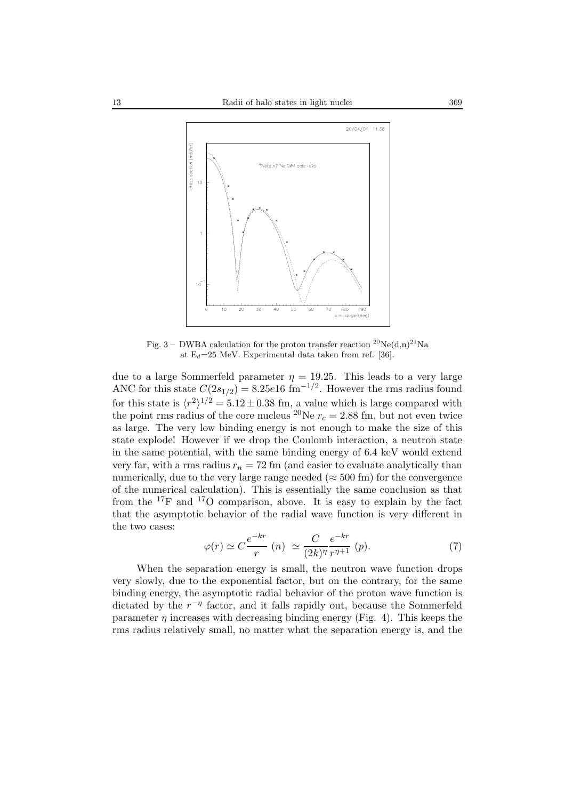

Fig. 3 – DWBA calculation for the proton transfer reaction  ${}^{20}Ne(d,n){}^{21}Na$ at  $E_d=25$  MeV. Experimental data taken from ref. [36].

due to a large Sommerfeld parameter  $\eta = 19.25$ . This leads to a very large ANC for this state  $C(2s_{1/2})=8.25e16$  fm<sup>-1/2</sup>. However the rms radius found for this state is  $\langle r^2 \rangle^{1/2} = 5.12 \pm 0.38$  fm, a value which is large compared with the point rms radius of the core nucleus <sup>20</sup>Ne  $r_c = 2.88$  fm, but not even twice as large. The very low binding energy is not enough to make the size of this state explode! However if we drop the Coulomb interaction, a neutron state in the same potential, with the same binding energy of 6.4 keV would extend very far, with a rms radius  $r_n = 72$  fm (and easier to evaluate analytically than numerically, due to the very large range needed ( $\approx$  500 fm) for the convergence of the numerical calculation). This is essentially the same conclusion as that from the  $^{17}$ F and  $^{17}$ O comparison, above. It is easy to explain by the fact that the asymptotic behavior of the radial wave function is very different in the two cases:

$$
\varphi(r) \simeq C \frac{e^{-kr}}{r} \ (n) \ \simeq \frac{C}{(2k)^{\eta}} \frac{e^{-kr}}{r^{\eta+1}} \ (p). \tag{7}
$$

When the separation energy is small, the neutron wave function drops very slowly, due to the exponential factor, but on the contrary, for the same binding energy, the asymptotic radial behavior of the proton wave function is dictated by the  $r^{-\eta}$  factor, and it falls rapidly out, because the Sommerfeld parameter  $\eta$  increases with decreasing binding energy (Fig. 4). This keeps the rms radius relatively small, no matter what the separation energy is, and the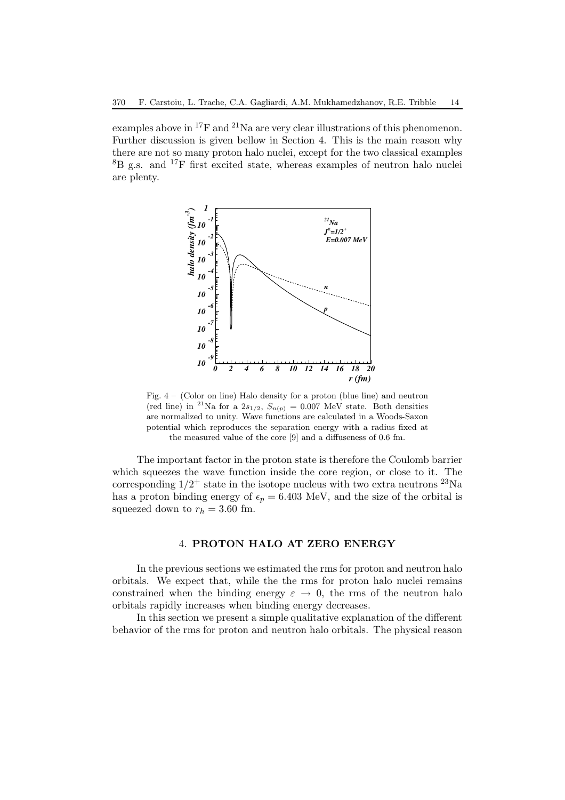examples above in <sup>17</sup>F and <sup>21</sup>Na are very clear illustrations of this phenomenon. Further discussion is given bellow in Section 4. This is the main reason why there are not so many proton halo nuclei, except for the two classical examples <sup>8</sup>B g.s. and <sup>17</sup>F first excited state, whereas examples of neutron halo nuclei are plenty.



Fig. 4 – (Color on line) Halo density for a proton (blue line) and neutron (red line) in <sup>21</sup>Na for a  $2s_{1/2}$ ,  $S_{n(p)} = 0.007$  MeV state. Both densities are normalized to unity. Wave functions are calculated in a Woods-Saxon potential which reproduces the separation energy with a radius fixed at the measured value of the core [9] and a diffuseness of 0.6 fm.

The important factor in the proton state is therefore the Coulomb barrier which squeezes the wave function inside the core region, or close to it. The corresponding  $1/2^+$  state in the isotope nucleus with two extra neutrons  $^{23}$ Na has a proton binding energy of  $\epsilon_p = 6.403$  MeV, and the size of the orbital is squeezed down to  $r_h = 3.60$  fm.

#### 4. **PROTON HALO AT ZERO ENERGY**

In the previous sections we estimated the rms for proton and neutron halo orbitals. We expect that, while the the rms for proton halo nuclei remains constrained when the binding energy  $\varepsilon \to 0$ , the rms of the neutron halo orbitals rapidly increases when binding energy decreases.

In this section we present a simple qualitative explanation of the different behavior of the rms for proton and neutron halo orbitals. The physical reason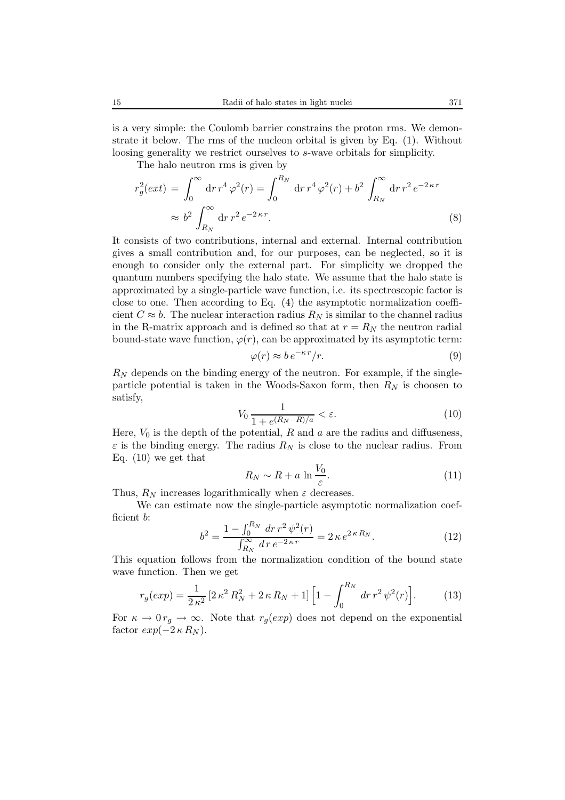is a very simple: the Coulomb barrier constrains the proton rms. We demonstrate it below. The rms of the nucleon orbital is given by Eq. (1). Without loosing generality we restrict ourselves to s-wave orbitals for simplicity.

The halo neutron rms is given by

$$
r_g^2(ext) = \int_0^\infty dr \, r^4 \, \varphi^2(r) = \int_0^{R_N} dr \, r^4 \, \varphi^2(r) + b^2 \int_{R_N}^\infty dr \, r^2 \, e^{-2\kappa r} \approx b^2 \int_{R_N}^\infty dr \, r^2 \, e^{-2\kappa r} . \tag{8}
$$

It consists of two contributions, internal and external. Internal contribution gives a small contribution and, for our purposes, can be neglected, so it is enough to consider only the external part. For simplicity we dropped the quantum numbers specifying the halo state. We assume that the halo state is approximated by a single-particle wave function, i.e. its spectroscopic factor is close to one. Then according to Eq. (4) the asymptotic normalization coefficient  $C \approx b$ . The nuclear interaction radius  $R_N$  is similar to the channel radius in the R-matrix approach and is defined so that at  $r = R<sub>N</sub>$  the neutron radial bound-state wave function,  $\varphi(r)$ , can be approximated by its asymptotic term:

$$
\varphi(r) \approx b \, e^{-\kappa \, r} / r. \tag{9}
$$

 $R_N$  depends on the binding energy of the neutron. For example, if the singleparticle potential is taken in the Woods-Saxon form, then  $R_N$  is choosen to satisfy,

$$
V_0 \frac{1}{1 + e^{(R_N - R)/a}} < \varepsilon. \tag{10}
$$

Here,  $V_0$  is the depth of the potential, R and a are the radius and diffuseness,  $\varepsilon$  is the binding energy. The radius  $R_N$  is close to the nuclear radius. From Eq. (10) we get that

$$
R_N \sim R + a \ln \frac{V_0}{\varepsilon}.\tag{11}
$$

Thus,  $R_N$  increases logarithmically when  $\varepsilon$  decreases.

We can estimate now the single-particle asymptotic normalization coefficient b:

$$
b^{2} = \frac{1 - \int_{0}^{R_{N}} dr r^{2} \psi^{2}(r)}{\int_{R_{N}}^{\infty} dr e^{-2\kappa r}} = 2\kappa e^{2\kappa R_{N}}.
$$
 (12)

This equation follows from the normalization condition of the bound state wave function. Then we get

$$
r_g(exp) = \frac{1}{2\,\kappa^2} \left[ 2\,\kappa^2\,R_N^2 + 2\,\kappa\,R_N + 1 \right] \left[ 1 - \int_0^{R_N} dr\,r^2\,\psi^2(r) \right].\tag{13}
$$

For  $\kappa \to 0 r_g \to \infty$ . Note that  $r_g(exp)$  does not depend on the exponential factor  $exp(-2 \kappa R_N)$ .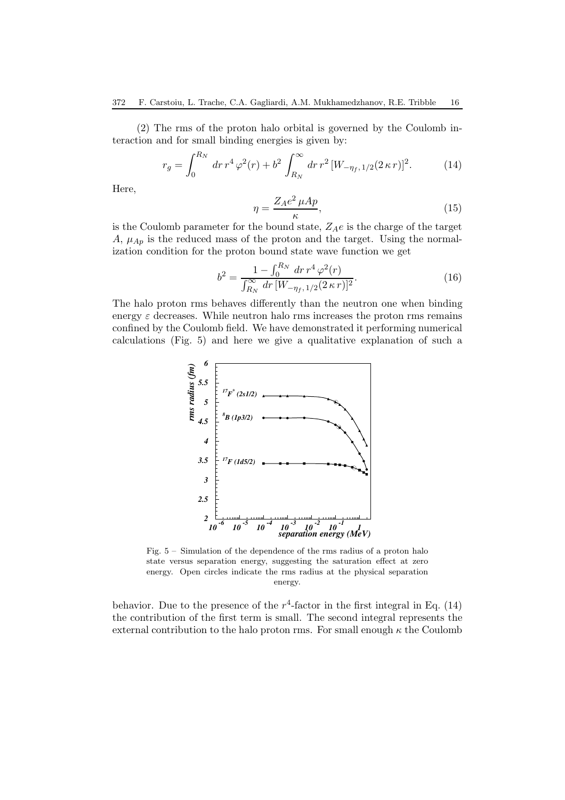(2) The rms of the proton halo orbital is governed by the Coulomb interaction and for small binding energies is given by:

$$
r_g = \int_0^{R_N} dr \, r^4 \, \varphi^2(r) + b^2 \int_{R_N}^{\infty} dr \, r^2 \, [W_{-\eta_f, 1/2}(2\,\kappa \, r)]^2. \tag{14}
$$

Here,

$$
\eta = \frac{Z_A e^2 \mu A p}{\kappa},\tag{15}
$$

is the Coulomb parameter for the bound state,  $Z_A e$  is the charge of the target  $A, \mu_{Ap}$  is the reduced mass of the proton and the target. Using the normalization condition for the proton bound state wave function we get

$$
b^{2} = \frac{1 - \int_{0}^{R_{N}} dr \, r^{4} \, \varphi^{2}(r)}{\int_{R_{N}}^{\infty} dr \, [W_{-\eta_{f},1/2}(2\,\kappa\,r)]^{2}}.
$$
\n(16)

The halo proton rms behaves differently than the neutron one when binding energy  $\varepsilon$  decreases. While neutron halo rms increases the proton rms remains confined by the Coulomb field. We have demonstrated it performing numerical calculations (Fig. 5) and here we give a qualitative explanation of such a



Fig. 5 – Simulation of the dependence of the rms radius of a proton halo state versus separation energy, suggesting the saturation effect at zero energy. Open circles indicate the rms radius at the physical separation energy.

behavior. Due to the presence of the  $r^4$ -factor in the first integral in Eq. (14) the contribution of the first term is small. The second integral represents the external contribution to the halo proton rms. For small enough  $\kappa$  the Coulomb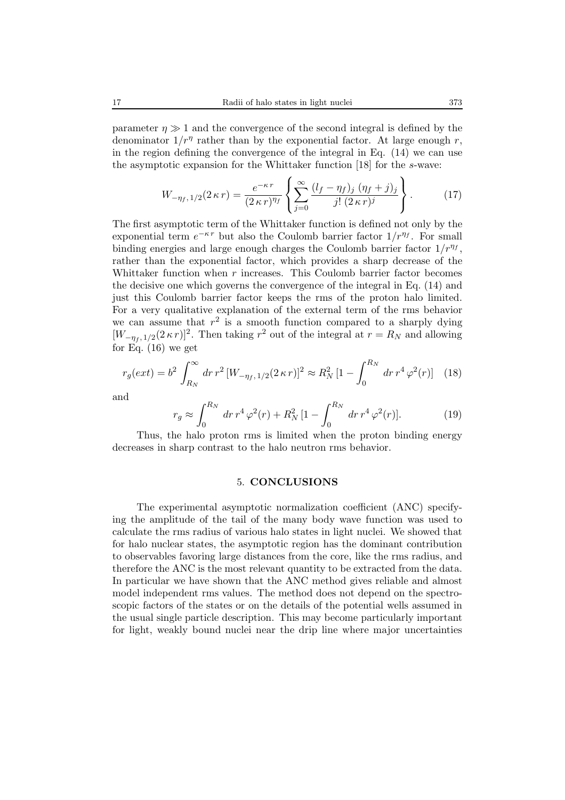parameter  $\eta \gg 1$  and the convergence of the second integral is defined by the denominator  $1/r^{\eta}$  rather than by the exponential factor. At large enough r, in the region defining the convergence of the integral in Eq. (14) we can use the asymptotic expansion for the Whittaker function [18] for the s-wave:

$$
W_{-\eta_f, 1/2}(2\,\kappa\,r) = \frac{e^{-\kappa\,r}}{(2\,\kappa\,r)^{\eta_f}} \left\{ \sum_{j=0}^{\infty} \frac{(l_f - \eta_f)_j (\eta_f + j)_j}{j! (2\,\kappa\,r)^j} \right\}.
$$
 (17)

The first asymptotic term of the Whittaker function is defined not only by the exponential term  $e^{-\kappa r}$  but also the Coulomb barrier factor  $1/r^{\eta_f}$ . For small binding energies and large enough charges the Coulomb barrier factor  $1/r^{\eta_f}$ , rather than the exponential factor, which provides a sharp decrease of the Whittaker function when r increases. This Coulomb barrier factor becomes the decisive one which governs the convergence of the integral in Eq. (14) and just this Coulomb barrier factor keeps the rms of the proton halo limited. For a very qualitative explanation of the external term of the rms behavior we can assume that  $r^2$  is a smooth function compared to a sharply dying  $[W_{-\eta_t, 1/2}(2\,\kappa\,r)]^2$ . Then taking  $r^2$  out of the integral at  $r = R_N$  and allowing for Eq.  $(16)$  we get

$$
r_g(\text{ext}) = b^2 \int_{R_N}^{\infty} dr \, r^2 \, [W_{-\eta_f, 1/2}(2 \kappa \, r)]^2 \approx R_N^2 \, [1 - \int_0^{R_N} dr \, r^4 \, \varphi^2(r)] \tag{18}
$$

and

$$
r_g \approx \int_0^{R_N} dr \, r^4 \, \varphi^2(r) + R_N^2 \left[1 - \int_0^{R_N} dr \, r^4 \, \varphi^2(r)\right].\tag{19}
$$

Thus, the halo proton rms is limited when the proton binding energy decreases in sharp contrast to the halo neutron rms behavior.

#### 5. **CONCLUSIONS**

The experimental asymptotic normalization coefficient (ANC) specifying the amplitude of the tail of the many body wave function was used to calculate the rms radius of various halo states in light nuclei. We showed that for halo nuclear states, the asymptotic region has the dominant contribution to observables favoring large distances from the core, like the rms radius, and therefore the ANC is the most relevant quantity to be extracted from the data. In particular we have shown that the ANC method gives reliable and almost model independent rms values. The method does not depend on the spectroscopic factors of the states or on the details of the potential wells assumed in the usual single particle description. This may become particularly important for light, weakly bound nuclei near the drip line where major uncertainties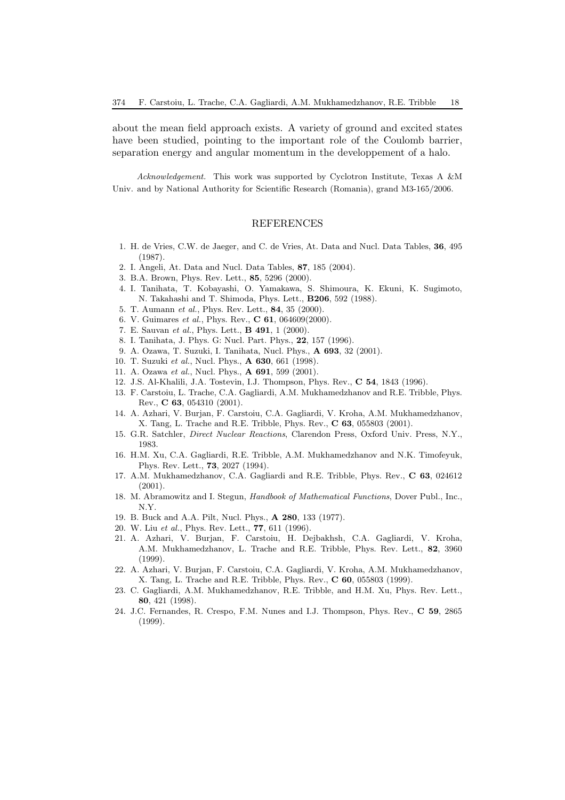about the mean field approach exists. A variety of ground and excited states have been studied, pointing to the important role of the Coulomb barrier, separation energy and angular momentum in the developpement of a halo.

*Acknowledgement.* This work was supported by Cyclotron Institute, Texas A &M Univ. and by National Authority for Scientific Research (Romania), grand M3-165/2006.

#### REFERENCES

- 1. H. de Vries, C.W. de Jaeger, and C. de Vries, At. Data and Nucl. Data Tables, **36**, 495 (1987).
- 2. I. Angeli, At. Data and Nucl. Data Tables, **87**, 185 (2004).
- 3. B.A. Brown, Phys. Rev. Lett., **85**, 5296 (2000).
- 4. I. Tanihata, T. Kobayashi, O. Yamakawa, S. Shimoura, K. Ekuni, K. Sugimoto, N. Takahashi and T. Shimoda, Phys. Lett., **B206**, 592 (1988).
- 5. T. Aumann *et al.*, Phys. Rev. Lett., **84**, 35 (2000).
- 6. V. Guimares *et al.*, Phys. Rev., **C 61**, 064609(2000).
- 7. E. Sauvan *et al.*, Phys. Lett., **B 491**, 1 (2000).
- 8. I. Tanihata, J. Phys. G: Nucl. Part. Phys., **22**, 157 (1996).
- 9. A. Ozawa, T. Suzuki, I. Tanihata, Nucl. Phys., **A 693**, 32 (2001).
- 10. T. Suzuki *et al.*, Nucl. Phys., **A 630**, 661 (1998).
- 11. A. Ozawa *et al.*, Nucl. Phys., **A 691**, 599 (2001).
- 12. J.S. Al-Khalili, J.A. Tostevin, I.J. Thompson, Phys. Rev., **C 54**, 1843 (1996).
- 13. F. Carstoiu, L. Trache, C.A. Gagliardi, A.M. Mukhamedzhanov and R.E. Tribble, Phys. Rev., **C 63**, 054310 (2001).
- 14. A. Azhari, V. Burjan, F. Carstoiu, C.A. Gagliardi, V. Kroha, A.M. Mukhamedzhanov, X. Tang, L. Trache and R.E. Tribble, Phys. Rev., **C 63**, 055803 (2001).
- 15. G.R. Satchler, *Direct Nuclear Reactions*, Clarendon Press, Oxford Univ. Press, N.Y., 1983.
- 16. H.M. Xu, C.A. Gagliardi, R.E. Tribble, A.M. Mukhamedzhanov and N.K. Timofeyuk, Phys. Rev. Lett., **73**, 2027 (1994).
- 17. A.M. Mukhamedzhanov, C.A. Gagliardi and R.E. Tribble, Phys. Rev., **C 63**, 024612 (2001).
- 18. M. Abramowitz and I. Stegun, *Handbook of Mathematical Functions*, Dover Publ., Inc., N.Y.
- 19. B. Buck and A.A. Pilt, Nucl. Phys., **A 280**, 133 (1977).
- 20. W. Liu *et al.*, Phys. Rev. Lett., **77**, 611 (1996).
- 21. A. Azhari, V. Burjan, F. Carstoiu, H. Dejbakhsh, C.A. Gagliardi, V. Kroha, A.M. Mukhamedzhanov, L. Trache and R.E. Tribble, Phys. Rev. Lett., **82**, 3960 (1999).
- 22. A. Azhari, V. Burjan, F. Carstoiu, C.A. Gagliardi, V. Kroha, A.M. Mukhamedzhanov, X. Tang, L. Trache and R.E. Tribble, Phys. Rev., **C 60**, 055803 (1999).
- 23. C. Gagliardi, A.M. Mukhamedzhanov, R.E. Tribble, and H.M. Xu, Phys. Rev. Lett., **80**, 421 (1998).
- 24. J.C. Fernandes, R. Crespo, F.M. Nunes and I.J. Thompson, Phys. Rev., **C 59**, 2865 (1999).